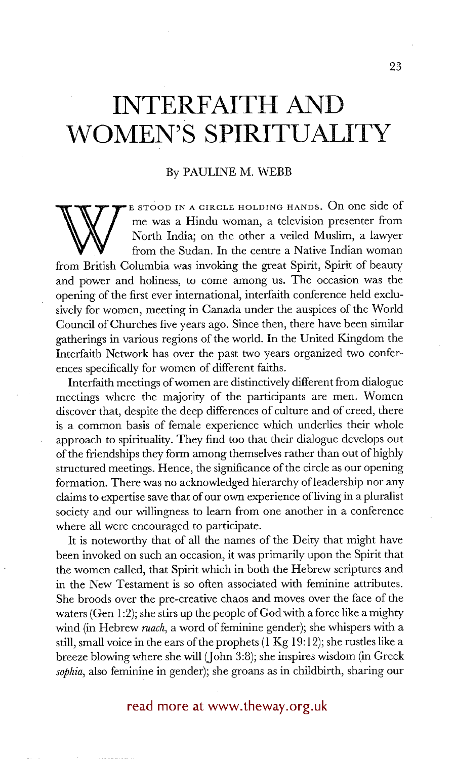## By PAULINE M. WEBB

w me was a Hindu woman, a television presenter from<br>North India; on the other a veiled Muslim, a lawyer<br>from the Sudan. In the centre a Native Indian woman<br>from British Columbia was invoking the great Spirit, Spirit of bea E STOOD IN A CIRCLE HOLDING HANDS. On one side of me was a Hindu woman, a television presenter from North India; on the other a veiled Muslim, a lawyer from the Sudan. In the centre a Native Indian woman and power and holiness, to come among us. The occasion was the opening of the first ever international, interfaith conference held exclusively for women, meeting in Canada under the auspices of the World Council of Churches five years ago. Since then, there have been similar gatherings in various regions of the world. In the United Kingdom the Interfaith Network has over the past two years organized two conferences specifically for women of different faiths.

Interfaith meetings of women are distinctively different from dialogue meetings where the majority of the participants are men. Women discover that, despite the deep differences of culture and of creed, there is a common basis of female experience which underlies their whole approach to spirituality. They find too that their dialogue develops out of the friendships they form among themselves rather than out of highly structured meetings. Hence, the significance of the circle as our opening formation. There was no acknowledged hierarchy of leadership nor any claims to expertise save that of our own experience of living in a pluralist society and our willingness to learn from one another in a conference where all were encouraged to participate.

It is noteworthy that of all the names of the Deity that might have been invoked on such an occasion, it was primarily upon the Spirit that the women called, that Spirit which in both the Hebrew scriptures and in the New Testament is so often associated with feminine attributes. She broods over the pre-creative chaos and moves over the face of the waters (Gen 1:2); she stirs up the people of God with a force like a mighty wind (in Hebrew *ruach,* a word of feminine gender); she whispers with a still, small voice in the ears of the prophets (1 Kg 19:12); she rustles like a breeze blowing where she will (John 3:8); she inspires wisdom (in Greek *sophia,* also feminine in gender); she groans as in childbirth, sharing our

## read more at www.theway.org.uk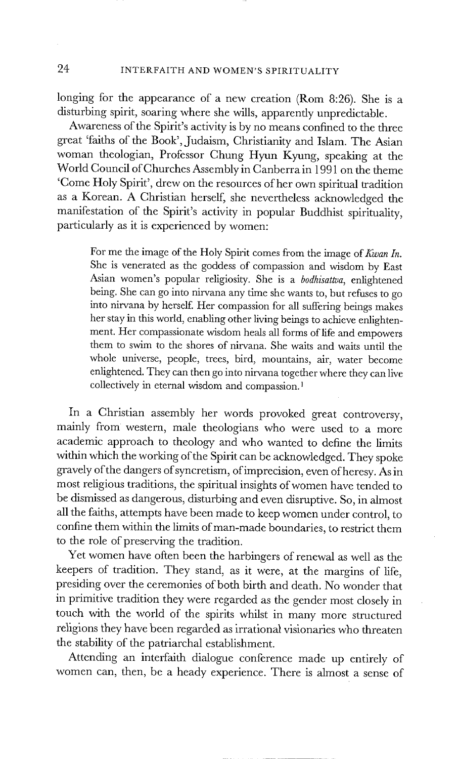longing for the appearance of a new creation (Rom 8:26). She is a disturbing spirit, soaring where she wills, apparently unpredictable.

Awareness of the Spirit's activity is by no means confined to the three great 'faiths of the Book', Judaism, Christianity and Islam. The Asian woman theologian, Professor Chung Hyun Kyung, speaking at the World Council of Churches Assembly in Canberra in 1991 on the theme 'Come Holy Spirit', drew on the resources of her own spiritual tradition as a Korean. A Christian herself, she nevertheless acknowledged the manifestation of the Spirit's activity in popular Buddhist spirituality, particularly as it is experienced by women:

For me the image of the Holy Spirit comes from the image *of Kwan In.*  She is venerated as the goddess of compassion and wisdom by East Asian women's popular religiosity. She is a *bodhisatlva,* enlightened being. She can go into nirvana any time she wants to, but refuses to go into nirvana by herself. Her compassion for all suffering beings makes her stay in this world, enabling other living beings to achieve enlightenment. Her compassionate wisdom heals all forms of life and empowers them to swim to the shores of nirvana. She waits and waits until the whole universe, people, trees, bird, mountains, air, water become enlightened. They can then go into nirvana together where they can live collectively in eternal wisdom and compassion.<sup>1</sup>

In a Christian assembly her words provoked great controversy, mainly from western, male theologians who were used to a more academic approach to theology and who wanted to define the limits within which the working of the Spirit can be acknowledged. They spoke gravely of the dangers of syncretism, of imprecision, even of heresy. As in most religious traditions, the spiritual insights of women have tended to be dismissed as dangerous, disturbing and even disruptive. So, in almost all the faiths, attempts have been made to keep women under control, to confine them within the limits of man-made boundaries, to restrict them to the role of preserving the tradition.

Yet women have often been the harbingers of renewal as well as the keepers of tradition. They stand, as it were, at the margins of life, presiding over the ceremonies of both birth and death. No wonder that in primitive tradition they were regarded as the gender most closely in touch with the world of the spirits whilst in many more structured religions they have been regarded as irrational visionaries who threaten the stability of the patriarchal establishment.

Attending an interfaith dialogue conference made up entirely of women can, then, be a heady experience. There is almost a sense of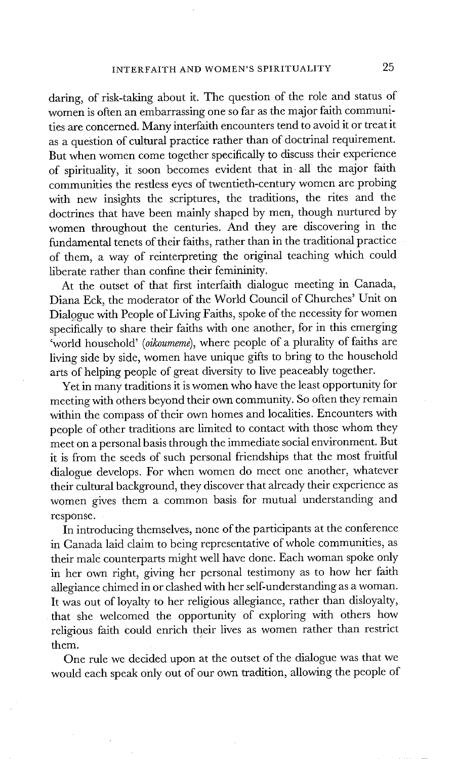daring, of risk-taking about it. The question of the role and status of women is often an embarrassing one so far as the major faith communities are concerned. Many interfaith encounters tend to avoid it or treat it as a question of cultural practice rather than of doctrinal requirement. But when women come together specifically to discuss their experience of spirituality, it soon becomes evident that in-all the major faith communities the restless eyes of twentieth-century women are probing with new insights the scriptures, the traditions, the rites and the doctrines that have been mainly shaped by men, though nurtured by women throughout the centuries. And they are discovering in the fundamental tenets of their faiths, rather than in the traditional practice of them, a way of reinterpreting the original teaching which could liberate rather than confine their femininity.

At the outset of that first interfaith dialogue meeting in Canada, Diana Eck, the moderator of the World Council of Churches' Unit on Dialogue with People of Living Faiths, spoke of the necessity for women specifically to share their faiths with one another, for in this emerging 'world household' *(oikoumeme),* where people of a plurality of faiths are living side by side, women have unique gifts to bring to the household arts of helping people of great diversity to live peaceably together.

Yet in many traditions it is women who have the least opportunity for meeting with others beyond their own community. So often they remain within the compass of their own homes and localities. Encounters with people of other traditions are limited to contact with those whom they meet on a personal basis through the immediate social environment. But it is from the seeds of such personal friendships that the most fruitful dialogue develops. For when women do meet one another, whatever their cultural background, they discover that already their experience as women gives them a common basis for mutual understanding and response.

In introducing themselves, none of the participants at the conference in Canada laid claim to being representative of whole communities, as their male counterparts might well have done. Each woman spoke only in her own right, giving her personal testimony as to how her faith allegiance chimed in or clashed with her self-understanding as a woman. It was out of loyalty to her religious allegiance, rather than disloyalty, that she welcomed the opportunity of exploring with others how religious faith could enrich their lives as women rather than restrict them.

One rule we decided upon at the outset of the dialogue was that we would each speak only out of our own tradition, allowing the people of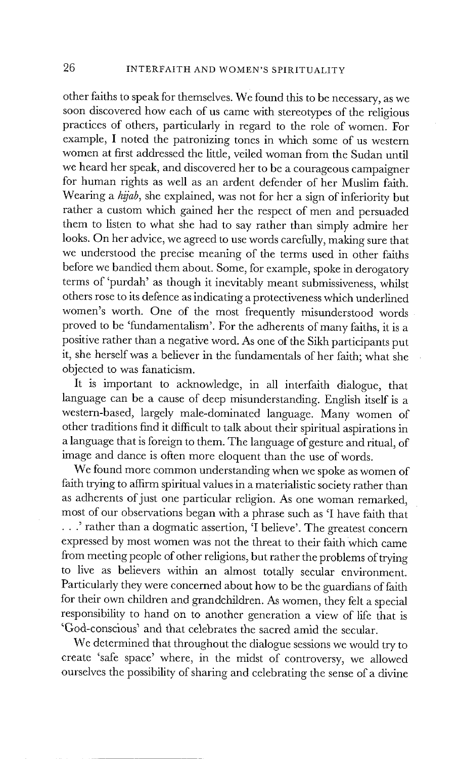other faiths to speak for themselves, we found this to be necessary, as we soon discovered how each of us came with stereotypes of the religious practices of others, particularly in regard to the role of women. For example, I noted the patronizing tones in which some of us western women at first addressed the little, veiled woman from the Sudan until we heard her speak, and discovered her to be a courageous campaigner for human rights as well as an ardent defender of her Muslim faith. Wearing a *hijab*, she explained, was not for her a sign of inferiority but rather a custom which gained her the respect of men and persuaded them to listen to what she had to say rather than simply admire her looks. On her advice, we agreed to use words carefully, making sure that we understood the precise meaning of the terms used in other faiths before we bandied them about. Some, for example, spoke in derogatory terms of 'purdah' as though it inevitably meant submissiveness, whilst others rose to its defence as indicating a protectiveness which underlined women's worth. One of the most frequently misunderstood words proved to be 'fundamentalism'. For the adherents of many faiths, it is a positive rather than a negative word. As one of the Sikh participants put it, she herself was a believer in the fundamentals of her faith; what she objected to was fanaticism.

It is important to acknowledge, in all interfaith dialogue, that language can be a cause of deep misunderstanding. English itself is a western-based, largely male-dominated language. Many women of other traditions find it difficult to talk about their spiritual aspirations in a language that is foreign to them. The language of gesture and ritual, of image and dance is often more eloquent than the use of words.

We found more common understanding when we spoke as women of faith trying to affirm spiritual values in a materialistic society rather than as adherents of just one particular religion. As one woman remarked, most of our observations began with a phrase such as 'I have faith that • . .' rather than a dogmatic assertion, 'I believe'. The greatest concern expressed by most women was not the threat to their faith which came from meeting people of other religions, but rather the problems of trying to live as believers within an almost totally secular environment. Particularly they were concerned about how to be the guardians of faith for their own children and grandchildren. As women, they felt a special responsibility to hand on to another generation a view of life that is ~God-conscious' and that celebrates the sacred amid the secular.

We determined that throughout the dialogue sessions we would try to create 'safe space' where, in the midst of controversy, we allowed ourselves the possibility of sharing and celebrating the sense of a divine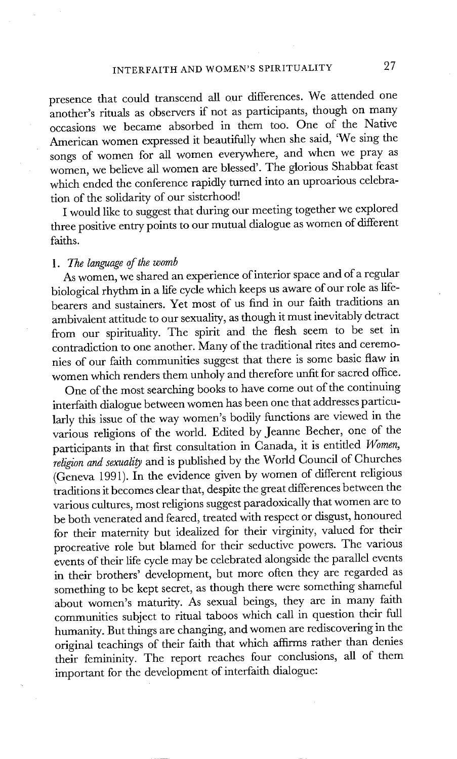presence that could transcend all our differences. We attended one another's rituals as observers if not as participants, though on many occasions we became absorbed in them too. One of the Native American women expressed it beautifully when she said, 'We sing the songs of women for all women everywhere, and when we pray as women, we believe all women are blessed'. The glorious Shabbat feast which ended the conference rapidly turned into an uproarious celebration of the solidarity of our sisterhood!

I would like to suggest that during our meeting together we explored three positive entry points to our mutual dialogue as women of different faiths.

#### *1. The language of the womb*

As women, we shared an experience of interior space and of a regular biological rhythm in a life cycle which keeps us aware of our role as lifebearers and sustainers. Yet most of us find in our faith traditions an ambivalent attitude to our sexuality, as though it must inevitably detract from our spirituality. The spirit and the flesh seem to be set in contradiction to one another. Many of the traditional rites and ceremonies of our faith communities suggest that there is some basic flaw in women which renders them unholy and therefore unfit for sacred office.

One of the most searching books to have come out of the continuing interfaith dialogue between women has been one that addresses particularly this issue of the way women's bodily functions are viewed in the various religions of the world. Edited by Jeanne Becher, one of the participants in that first consultation in Canada, it is entitled *Women, religion and sexuality* and is published by the World Council of Churches (Geneva 1991). In the evidence given by women of different religious traditions it becomes clear that, despite the great differences between the various cultures, most religions suggest paradoxically that women are to be both venerated and feared, treated with respect or disgust, honoured for their maternity but idealized for their virginity, valued for their procreative role but blamed for their seductive powers. The various events of their life cycle may be celebrated alongside the parallel events in their brothers' development, but more often they are regarded as something to be kept secret, as though there were something shameful about women's maturity. As sexual beings, they are in many faith communities subject to ritual taboos which call in question their full humanity. But things are changing, and women are rediscovering in the original teachings of their faith that which affirms rather than denies their femininity. The report reaches four conclusions, all of them important for the development of interfaith dialogue: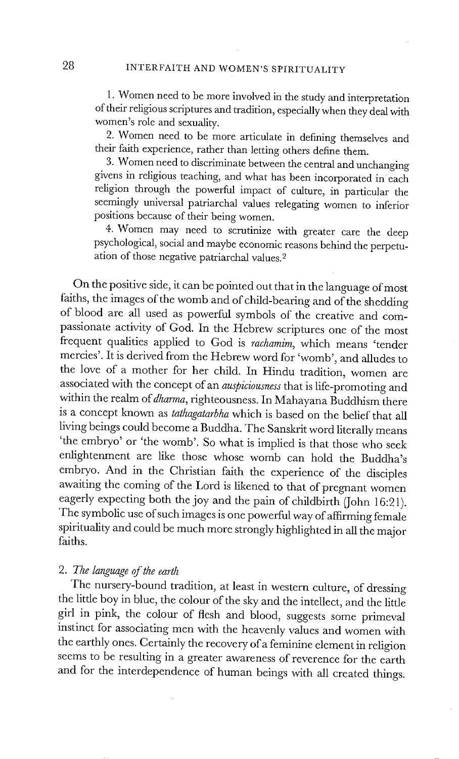1. Women need to be more involved in the study and interpretation of their religious scriptures and tradition, especially when they deal with women's role and sexuality.

2. Women need to be more articulate in defining themselves and their faith experience, rather than letting others define them.

3. Women need to discriminate between the central and unchanging givens in religious teaching, and what has been incorporated in each religion through the powerful impact of culture, in particular the seemingly universal patriarchal values relegating women to inferior positions because of their being women.

4. Women may need to scrutinize with greater care the deep psychological, social and maybe economic reasons behind the perpetuation of those negative patriarchal values.2

On the positive side, it can be pointed out that in the language of most faiths, the images of the womb and of child-bearing and of the shedding of blood are all used as powerful symbols of the creative and compassionate activity of God. In the Hebrew scriptures one of the most frequent qualities applied to God is *rachamim*, which means 'tender mercies'. It is derived from the Hebrew word for 'womb', and alludes to the love of a mother for her child. In Hindu tradition, women are associated with the concept of an *auspiciousness* that is life-promoting and within the realm *of dharma,* righteousness. In Mahayana Buddhism there is a concept known as *tathagatarbha* which is based on the belief that all living beings could become a Buddha. The Sanskrit word literally means 'the embryo' or 'the womb'. So what is implied is that those who seek enlightenment are like those whose womb can hold the Buddha's embryo. And in the Christian faith the experience of the disciples awaiting the coming of the Lord is likened to that of pregnant women eagerly expecting both the joy and the pain of childbirth (John 16:21). The symbolic use of such images is one powerful way of affirming female spirituality and could be much more strongly highlighted in all the major faiths.

## *2. The language of the earth*

The nursery-bound tradition, at least in western culture, of dressing the little boy in blue, the colour of the sky and the intellect, and the little girl in pink, the colour of flesh and blood, suggests some primeval instinct for associating men with the heavenly values and women with the earthly ones. Certainly the recovery of a feminine element in religion seems to be resulting in a greater awareness of reverence for the earth and for the interdependence of human beings with all created things.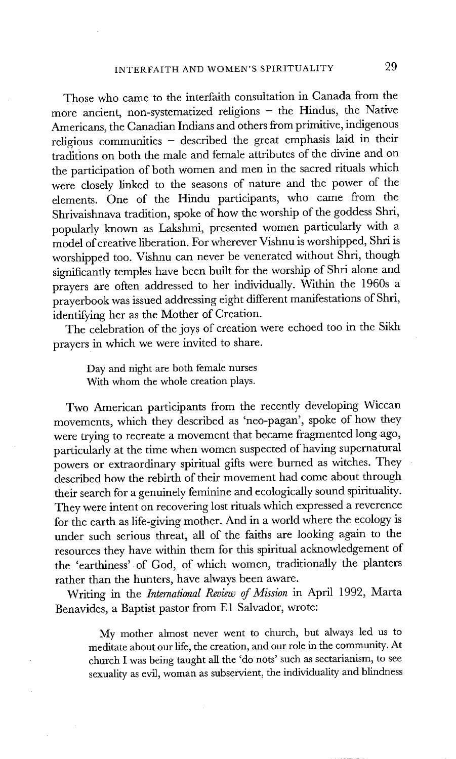Those who came to the interfaith consultation in Canada from the more ancient, non-systematized religions - the Hindus, the Native Americans, the Canadian Indians and others from primitive, indigenous religious communities - described the great emphasis laid in their traditions on both the male and female attributes of the divine and on the participation of both women and men in the sacred rituals which were closely linked to the seasons of nature and the power of the elements. One of the Hindu participants, who came from the Shrivaishnava tradition, spoke of how the worship of the goddess Shri, popularly known as Lakshmi, presented women particularly with a model of creative liberation. For wherever Vishnu is worshipped, Shri is worshipped too. Vishnu can never be venerated without Shri, though significantly temples have been built for the worship of Shri alone and prayers are often addressed to her individually. Within the 1960s a prayerbook was issued addressing eight different manifestations of Shri, identifying her as the Mother of Creation.

The celebration of the joys of creation were echoed too in the Sikh prayers in which we were invited to share.

Day and night are both female nurses With whom the whole creation plays.

Two American participants from the recently developing Wiccan movements, which they described as 'neo-pagan', spoke of how they were trying to recreate a movement that became fragmented long ago, particularly at the time when women suspected of having supernatural powers or extraordinary spiritual gifts were burned as witches. They described how the rebirth of their movement had come about through their search for a genuinely feminine and ecologically sound spirituality. They were intent on recovering lost rituals which expressed a reverence for the earth as life-giving mother. And in a world where the ecology is under such serious threat, all of the faiths are looking again to the resources they have within them for this spiritual acknowledgement of the 'earthiness' of God, of which women, traditionally the planters rather than the hunters, have always been aware.

Writing in the *International Review of Mission* in April 1992, Marta Benavides, a Baptist pastor from E1 Salvador, wrote:

My mother almost never went to church, but always led us to meditate about our life, the creation, and our role in the community. At church I was being taught all the 'do nots' such as sectarianism, to see sexuality as evil, woman as subservient, the individuality and blindness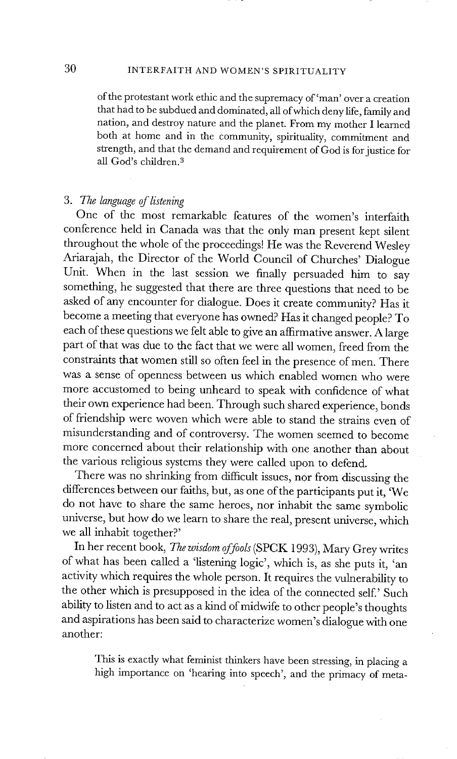of the protestant work ethic and the supremacy of'man' over a creation that had to be subdued and dominated, all of which deny life, family and nation, and destroy nature and the planet. From my mother I learned both at home and in the community, spirituality, commitment and strength, and that the demand and requirement of God is for justice for all God's children. 3

### *3. The language of listening*

One of the most remarkable features of the women's interfaith conference held in Canada was that the only man present kept silent throughout the whole of the proceedings! He was the Reverend Wesley Ariarajah, the Director of the World Council of Churches' Dialogue Unit. When in the last session we finally persuaded him to say something, he suggested that there are three questions that need to be asked of any encounter for dialogue. Does it create community? Has it become a meeting that everyone has owned? Has it changed people? To each of these questions we felt able to give an affirmative answer. A large part of that was due to the fact that we were all women, freed from the constraints that women still so often feel in the presence of men. There was a sense of openness between us which enabled women who were more accustomed to being unheard to speak with confidence of what their own experience had been. Through such shared experience, bonds of friendship were woven which were able to stand the strains even of misunderstanding and of controversy. The women seemed to become more concerned about their relationship with one another than about the various religious systems they were called upon to defend.

There was no shrinking from difficult issues, nor from discussing the differences between our faiths, but, as one of the participants put it, 'We do not have to share the same heroes, nor inhabit the same symbolic universe, but how do we learn to share the real, present universe, which we all inhabit together?'

In her recent book, The *wisdom offools* (SPCK 1993), Mary Grey writes of what has been called a 'listening logic', which is, as she puts it, 'an activity which requires the whole person. It requires the vulnerability to the other which is presupposed in the idea of the connected self.' Such ability to listen and to act as a kind of midwife to other people's thoughts and aspirations has been said to characterize women's dialogue with one another:

This is exactly what feminist thinkers have been stressing, in placing a high importance on 'hearing into speech', and the primacy of meta